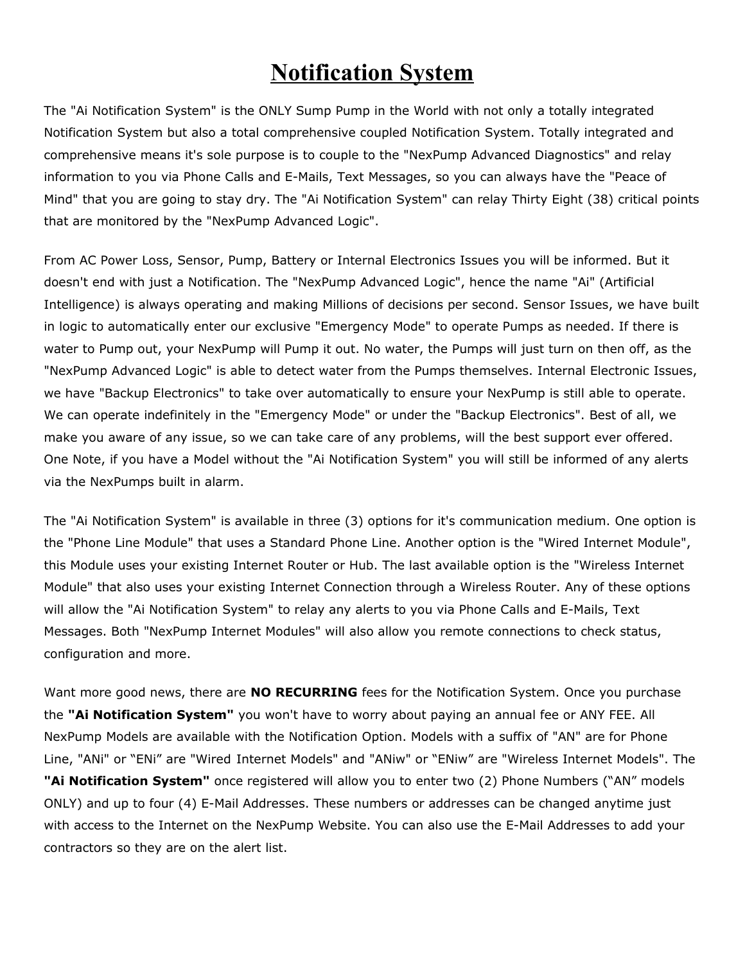## **Notification System**

The "Ai Notification System" is the ONLY Sump Pump in the World with not only a totally integrated Notification System but also a total comprehensive coupled Notification System. Totally integrated and comprehensive means it's sole purpose is to couple to the "NexPump Advanced Diagnostics" and relay information to you via Phone Calls and E-Mails, Text Messages, so you can always have the "Peace of Mind" that you are going to stay dry. The "Ai Notification System" can relay Thirty Eight (38) critical points that are monitored by the "NexPump Advanced Logic".

From AC Power Loss, Sensor, Pump, Battery or Internal Electronics Issues you will be informed. But it doesn't end with just a Notification. The "NexPump Advanced Logic", hence the name "Ai" (Artificial Intelligence) is always operating and making Millions of decisions per second. Sensor Issues, we have built in logic to automatically enter our exclusive "Emergency Mode" to operate Pumps as needed. If there is water to Pump out, your NexPump will Pump it out. No water, the Pumps will just turn on then off, as the "NexPump Advanced Logic" is able to detect water from the Pumps themselves. Internal Electronic Issues, we have "Backup Electronics" to take over automatically to ensure your NexPump is still able to operate. We can operate indefinitely in the "Emergency Mode" or under the "Backup Electronics". Best of all, we make you aware of any issue, so we can take care of any problems, will the best support ever offered. One Note, if you have a Model without the "Ai Notification System" you will still be informed of any alerts via the NexPumps built in alarm.

The "Ai Notification System" is available in three (3) options for it's communication medium. One option is the "Phone Line Module" that uses a Standard Phone Line. Another option is the "Wired Internet Module", this Module uses your existing Internet Router or Hub. The last available option is the "Wireless Internet Module" that also uses your existing Internet Connection through a Wireless Router. Any of these options will allow the "Ai Notification System" to relay any alerts to you via Phone Calls and E-Mails, Text Messages. Both "NexPump Internet Modules" will also allow you remote connections to check status, configuration and more.

Want more good news, there are **NO RECURRING** fees for the Notification System. Once you purchase the **"Ai Notification System"** you won't have to worry about paying an annual fee or ANY FEE. All NexPump Models are available with the Notification Option. Models with a suffix of "AN" are for Phone Line, "ANi" or "ENi" are "Wired Internet Models" and "ANiw" or "ENiw" are "Wireless Internet Models". The **"Ai Notification System"** once registered will allow you to enter two (2) Phone Numbers ("AN" models ONLY) and up to four (4) E-Mail Addresses. These numbers or addresses can be changed anytime just with access to the Internet on the NexPump Website. You can also use the E-Mail Addresses to add your contractors so they are on the alert list.